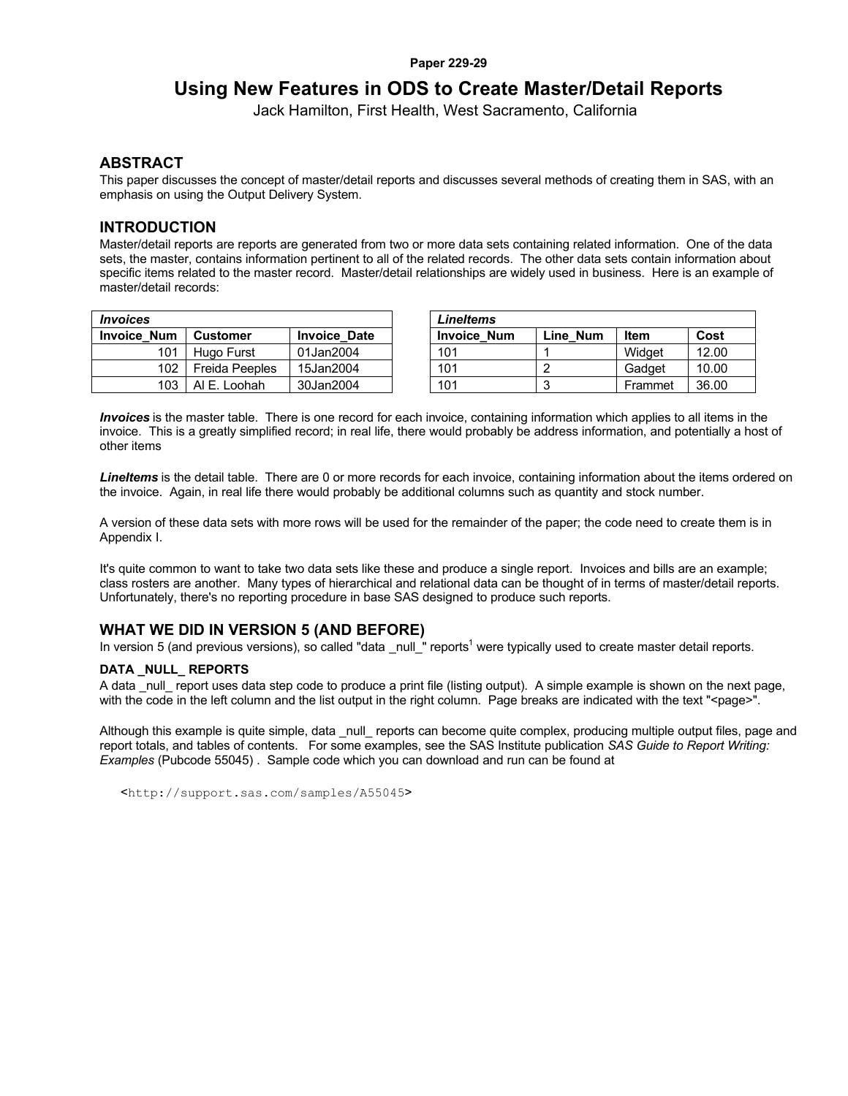#### **Paper 229-29**

# **Using New Features in ODS to Create Master/Detail Reports**

Jack Hamilton, First Health, West Sacramento, California

### **ABSTRACT**

This paper discusses the concept of master/detail reports and discusses several methods of creating them in SAS, with an emphasis on using the Output Delivery System.

## **INTRODUCTION**

Master/detail reports are reports are generated from two or more data sets containing related information. One of the data sets, the master, contains information pertinent to all of the related records. The other data sets contain information about specific items related to the master record. Master/detail relationships are widely used in business. Here is an example of master/detail records:

| <i><b>Invoices</b></i> |                 |                     | Lineltems        |
|------------------------|-----------------|---------------------|------------------|
| <b>Invoice Num</b>     | <b>Customer</b> | <b>Invoice Date</b> | <b>Invoice N</b> |
| 101                    | Hugo Furst      | 01Jan2004           | 101              |
| 102                    | Freida Peeples  | 15Jan2004           | 101              |
| 103                    | AI E. Loohah    | 30Jan2004           | 101              |

| <i><b>Invoices</b></i> |                |                     | LineItems          |          |         |       |
|------------------------|----------------|---------------------|--------------------|----------|---------|-------|
| Invoice Num            | Customer       | <b>Invoice Date</b> | <b>Invoice Num</b> | Line Num | Item    | Cost  |
| 101                    | Hugo Furst     | 01Jan2004           | 101                |          | Widget  | 12.00 |
| 102                    | Freida Peeples | 15Jan2004           | 101                |          | Gadget  | 10.00 |
| 103                    | AI E. Loohah   | 30Jan2004           | 101                |          | Frammet | 36.00 |

*Invoices* is the master table. There is one record for each invoice, containing information which applies to all items in the invoice. This is a greatly simplified record; in real life, there would probably be address information, and potentially a host of other items

*LineItems* is the detail table. There are 0 or more records for each invoice, containing information about the items ordered on the invoice. Again, in real life there would probably be additional columns such as quantity and stock number.

A version of these data sets with more rows will be used for the remainder of the paper; the code need to create them is in Appendix I.

It's quite common to want to take two data sets like these and produce a single report. Invoices and bills are an example; class rosters are another. Many types of hierarchical and relational data can be thought of in terms of master/detail reports. Unfortunately, there's no reporting procedure in base SAS designed to produce such reports.

## **WHAT WE DID IN VERSION 5 (AND BEFORE)**

In version 5 (and previous versions), so called "data \_null\_" reports<sup>1</sup> were typically used to create master detail reports.

### **DATA \_NULL\_ REPORTS**

A data \_null\_ report uses data step code to produce a print file (listing output). A simple example is shown on the next page, with the code in the left column and the list output in the right column. Page breaks are indicated with the text "<page>".

Although this example is quite simple, data \_null\_ reports can become quite complex, producing multiple output files, page and report totals, and tables of contents. For some examples, see the SAS Institute publication *SAS Guide to Report Writing: Examples* (Pubcode 55045) . Sample code which you can download and run can be found at

<http://support.sas.com/samples/A55045>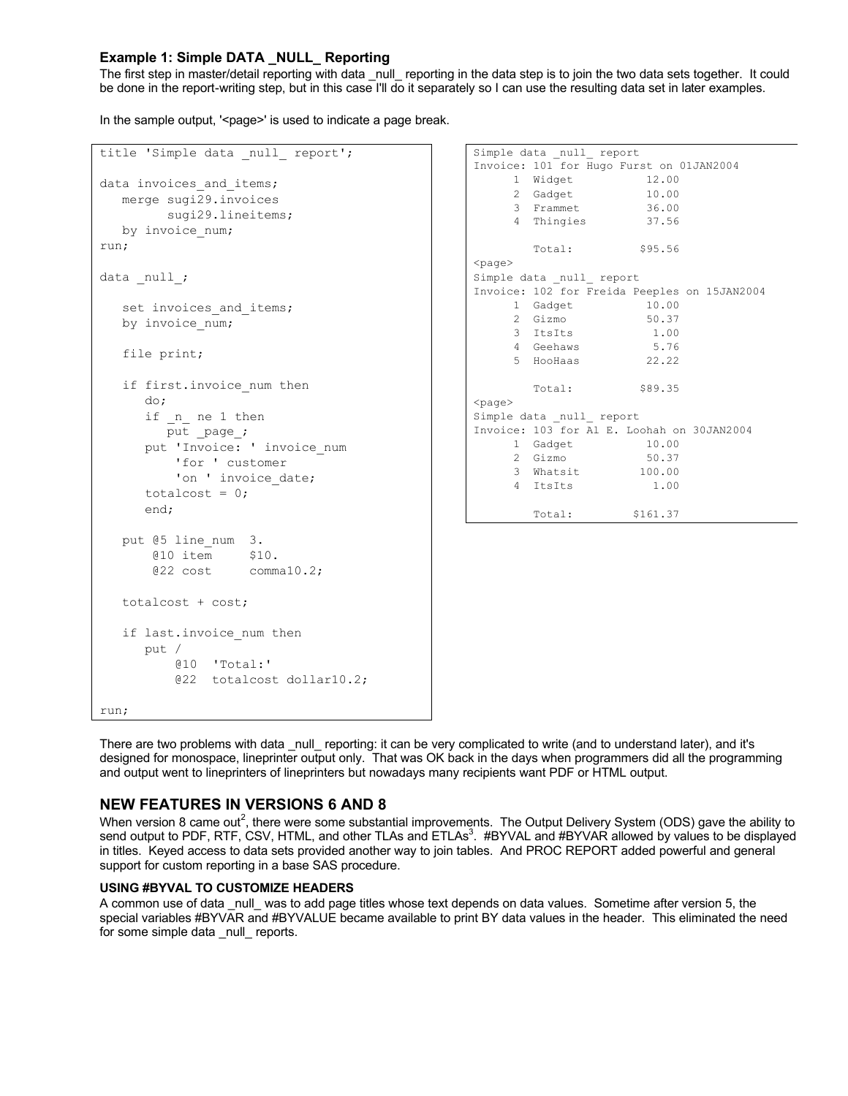## **Example 1: Simple DATA \_NULL\_ Reporting**

The first step in master/detail reporting with data \_null\_ reporting in the data step is to join the two data sets together. It could be done in the report-writing step, but in this case I'll do it separately so I can use the resulting data set in later examples.

In the sample output, '<page>' is used to indicate a page break.

| title 'Simple data null report'; | Simple data null report                      |
|----------------------------------|----------------------------------------------|
|                                  | Invoice: 101 for Hugo Furst on 01JAN2004     |
| data invoices and items;         | 1 Widget<br>12.00                            |
| merge sugi29. invoices           | 2 Gadget 10.00                               |
|                                  | 3 Frammet 36.00                              |
| sugi29.lineitems;                | 4 Thingies<br>37.56                          |
| by invoice num;                  |                                              |
| run;                             | Total:<br>\$95.56                            |
|                                  | $<$ page $>$                                 |
| data null;                       | Simple data null report                      |
|                                  | Invoice: 102 for Freida Peeples on 15JAN2004 |
| set invoices_and_items;          | 1 Gadget 10.00                               |
| by invoice num;                  | 2 Gizmo<br>50.37                             |
|                                  | 3 ItsIts<br>1.00                             |
|                                  | 4 Geehaws<br>5.76                            |
| file print;                      | 5 HooHaas<br>22.22                           |
|                                  |                                              |
| if first. invoice num then       | \$89.35<br>Total:                            |
| do;                              | $<$ page $>$                                 |
| if n ne 1 then                   | Simple data null report                      |
| put page;                        | Invoice: 103 for Al E. Loohah on 30JAN2004   |
| put 'Invoice: ' invoice num      | 1 Gadget<br>10.00                            |
| 'for ' customer                  | 2 Gizmo<br>50.37                             |
| 'on ' invoice date;              | 3 Whatsit<br>100.00                          |
|                                  | 4 ItsIts<br>1.00                             |
| totalcost = $0$ ;                |                                              |
| end;                             | Total:<br>\$161.37                           |
|                                  |                                              |
| put @5 line num 3.               |                                              |
| @10 item \$10.                   |                                              |
| $@22 \cost \tcomma10.2;$         |                                              |
|                                  |                                              |
| totalcost + cost;                |                                              |
|                                  |                                              |
|                                  |                                              |
| if last. invoice num then        |                                              |
| put /                            |                                              |
| $[010 \tcdot \tcdot]$            |                                              |
| @22 totalcost dollar10.2;        |                                              |
|                                  |                                              |
| run;                             |                                              |
|                                  |                                              |

There are two problems with data \_null\_ reporting: it can be very complicated to write (and to understand later), and it's designed for monospace, lineprinter output only. That was OK back in the days when programmers did all the programming and output went to lineprinters of lineprinters but nowadays many recipients want PDF or HTML output.

## **NEW FEATURES IN VERSIONS 6 AND 8**

When version 8 came out<sup>2</sup>, there were some substantial improvements. The Output Delivery System (ODS) gave the ability to send output to PDF, RTF, CSV, HTML, and other TLAs and ETLAs<sup>3</sup>. #BYVAL and #BYVAR allowed by values to be displayed in titles. Keyed access to data sets provided another way to join tables. And PROC REPORT added powerful and general support for custom reporting in a base SAS procedure.

### **USING #BYVAL TO CUSTOMIZE HEADERS**

A common use of data \_null\_ was to add page titles whose text depends on data values. Sometime after version 5, the special variables #BYVAR and #BYVALUE became available to print BY data values in the header. This eliminated the need for some simple data \_null\_ reports.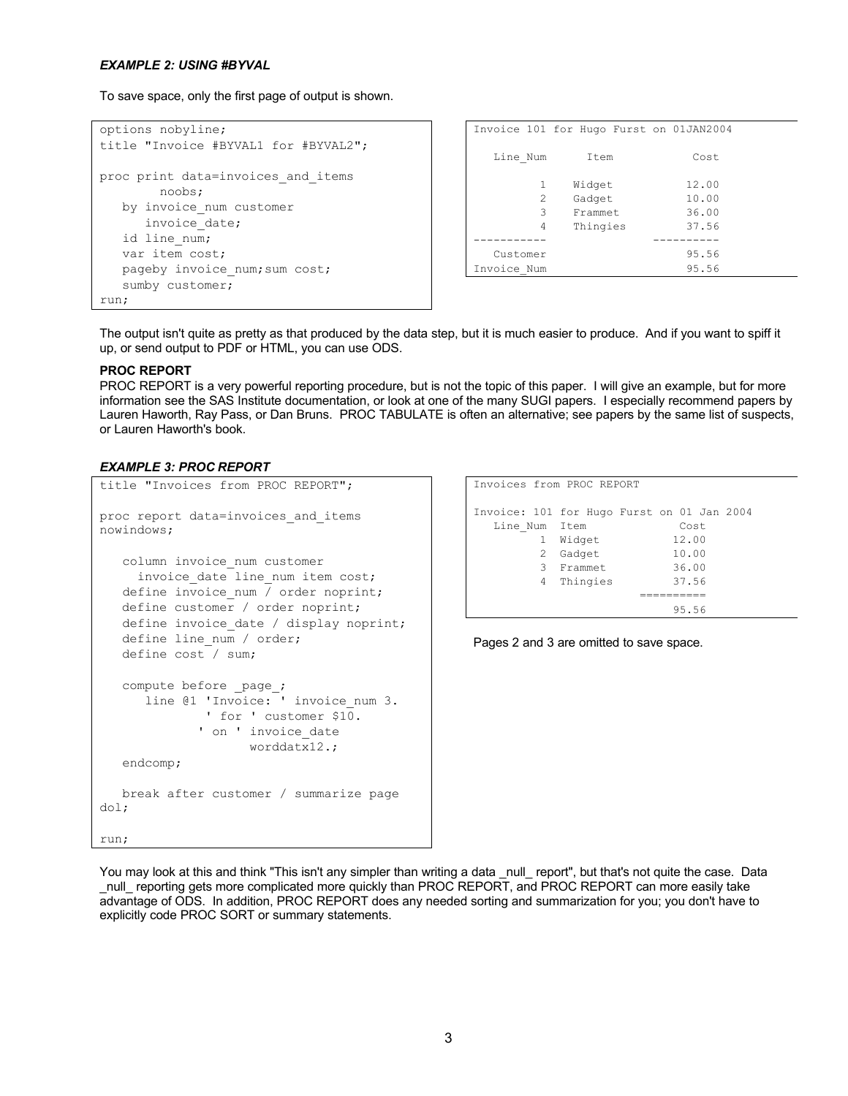#### *EXAMPLE 2: USING #BYVAL*

To save space, only the first page of output is shown.

```
options nobyline;
title "Invoice #BYVAL1 for #BYVAL2";
proc print data=invoices and items
        noobs;
   by invoice_num customer
     invoice date;
   id line num;
    var item cost; 
   pageby invoice num; sum cost;
    sumby customer;
run;
```

|                | Invoice 101 for Hugo Furst on 01JAN2004 |       |  |
|----------------|-----------------------------------------|-------|--|
| Line Num       | Item                                    | Cost  |  |
| 1              | Widget                                  | 12.00 |  |
| $\mathfrak{D}$ | Gadget                                  | 10.00 |  |
| 3              | Frammet.                                | 36.00 |  |
| 4              | Thingies                                | 37.56 |  |
|                |                                         |       |  |
| Customer       |                                         | 95.56 |  |
| Invoice Num    |                                         | 95.56 |  |

The output isn't quite as pretty as that produced by the data step, but it is much easier to produce. And if you want to spiff it up, or send output to PDF or HTML, you can use ODS.

### **PROC REPORT**

PROC REPORT is a very powerful reporting procedure, but is not the topic of this paper. I will give an example, but for more information see the SAS Institute documentation, or look at one of the many SUGI papers. I especially recommend papers by Lauren Haworth, Ray Pass, or Dan Bruns. PROC TABULATE is often an alternative; see papers by the same list of suspects, or Lauren Haworth's book.

#### *EXAMPLE 3: PROC REPORT*

```
title "Invoices from PROC REPORT";
proc report data=invoices_and_items 
nowindows;
    column invoice_num customer
     invoice date line num item cost;
   define invoice num / order noprint;
    define customer / order noprint;
   define invoice date / display noprint;
   define line num / order;
    define cost / sum;
    compute before _page_;
       line @1 'Invoice: ' invoice_num 3.
               ' for ' customer $10.
             ' on ' invoice date
                    worddatx12.;
    endcomp;
    break after customer / summarize page 
dol;
run;
```

```
Invoices from PROC REPORT
Invoice: 101 for Hugo Furst on 01 Jan 2004
  Line Num Item Cost
        1 Widget 12.00
        2 Gadget 10.00
        3 Frammet 36.00
        4 Thingies 37.56
                    ==========
                        95.56
```

```
Pages 2 and 3 are omitted to save space.
```
You may look at this and think "This isn't any simpler than writing a data null report", but that's not quite the case. Data \_null\_ reporting gets more complicated more quickly than PROC REPORT, and PROC REPORT can more easily take advantage of ODS. In addition, PROC REPORT does any needed sorting and summarization for you; you don't have to explicitly code PROC SORT or summary statements.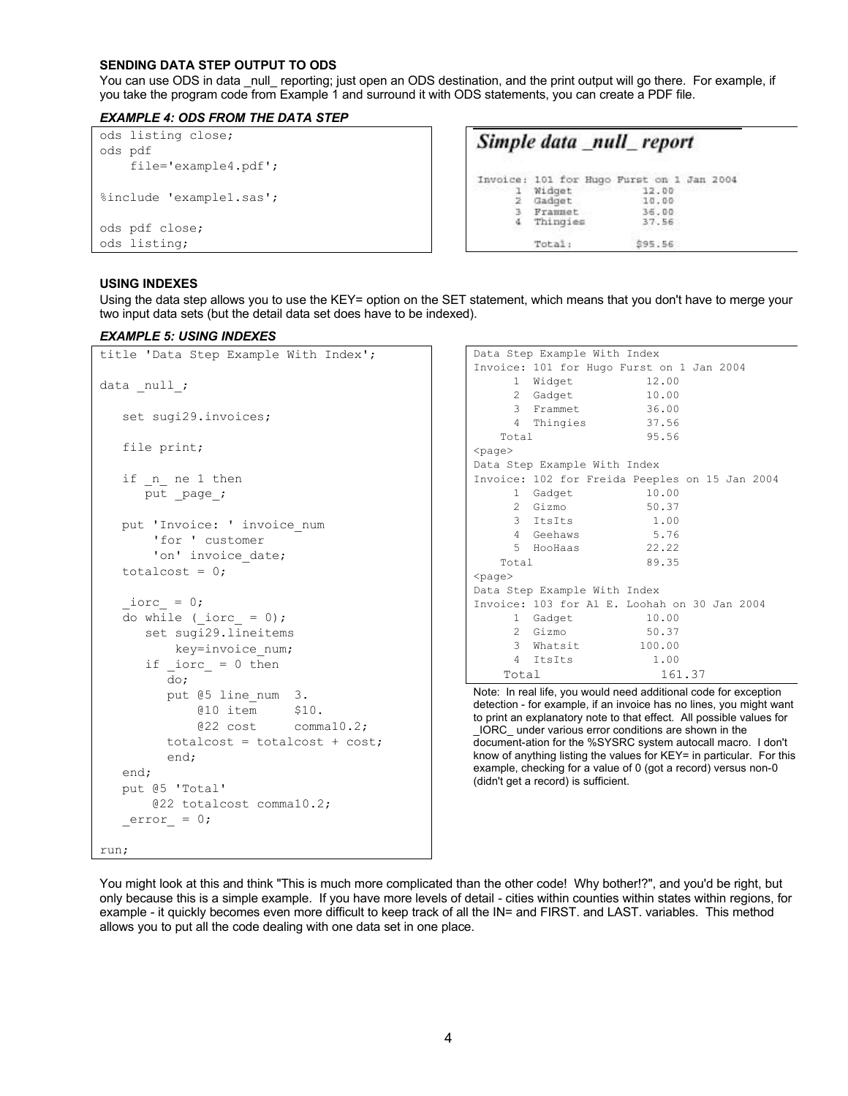#### **SENDING DATA STEP OUTPUT TO ODS**

You can use ODS in data null reporting; just open an ODS destination, and the print output will go there. For example, if you take the program code from Example 1 and surround it with ODS statements, you can create a PDF file.

### *EXAMPLE 4: ODS FROM THE DATA STEP*

| ods listing close;<br>ods pdf |          | Simple data _null_report                  |
|-------------------------------|----------|-------------------------------------------|
| $file='example4.pdf$ ;        |          |                                           |
|                               |          | Invoice: 101 for Hugo Furst on 1 Jan 2004 |
|                               | 1 Widget | 1,689, 119, 119<br>12.00                  |
| %include 'example1.sas';      | Gadget   | 10.00                                     |
|                               | Frammet  | 36.00                                     |
| ods pdf close;                | Thingies | 37.56                                     |
| ods listing;                  | Total:   | \$95.56                                   |

### **USING INDEXES**

Using the data step allows you to use the KEY= option on the SET statement, which means that you don't have to merge your two input data sets (but the detail data set does have to be indexed).

#### *EXAMPLE 5: USING INDEXES*

```
title 'Data Step Example With Index';
data null;
    set sugi29.invoices;
    file print;
   if n ne 1 then
      put page ;
   put 'Invoice: ' invoice num
        'for ' customer 
       'on' invoice date;
   totalcost = 0;iorc = 0;
   do while (\text{iorc} = 0);
       set sugi29.lineitems 
           key=invoice_num;
      if \text{iorc} = 0 then do;
          put @5 line_num 3.
              @10 item $10.
              @22 cost comma10.2;
          totalcost = totalcost + cost;
          end;
    end;
    put @5 'Total' 
        @22 totalcost comma10.2;
   error_ = 0;run;
```

```
Data Step Example With Index
Invoice: 101 for Hugo Furst on 1 Jan 2004
    1 Widget 12.00<br>2 Gadget 10.00
 2 Gadget 10.00
 3 Frammet 36.00
     4 Thingies 37.56
    Total 95.56 
<page>
Data Step Example With Index
Invoice: 102 for Freida Peeples on 15 Jan 2004
     1 Gadget 10.00
    2 Gizmo 50.37<br>3 ItsIts 1.00
     3 ItsIts 1.00
     4 Geehaws 5.76
     5 HooHaas 22.22
    Total 89.35
<page>Data Step Example With Index
Invoice: 103 for Al E. Loohah on 30 Jan 2004
     1 Gadget 10.00
     2 Gizmo 50.37
     3 Whatsit 100.00
     4 ItsIts 1.00
    Total 161.37
```
Note: In real life, you would need additional code for exception detection - for example, if an invoice has no lines, you might want to print an explanatory note to that effect. All possible values for \_IORC\_ under various error conditions are shown in the document-ation for the %SYSRC system autocall macro. I don't know of anything listing the values for KEY= in particular. For this example, checking for a value of 0 (got a record) versus non-0 (didn't get a record) is sufficient.

You might look at this and think "This is much more complicated than the other code! Why bother!?", and you'd be right, but only because this is a simple example. If you have more levels of detail - cities within counties within states within regions, for example - it quickly becomes even more difficult to keep track of all the IN= and FIRST. and LAST. variables. This method allows you to put all the code dealing with one data set in one place.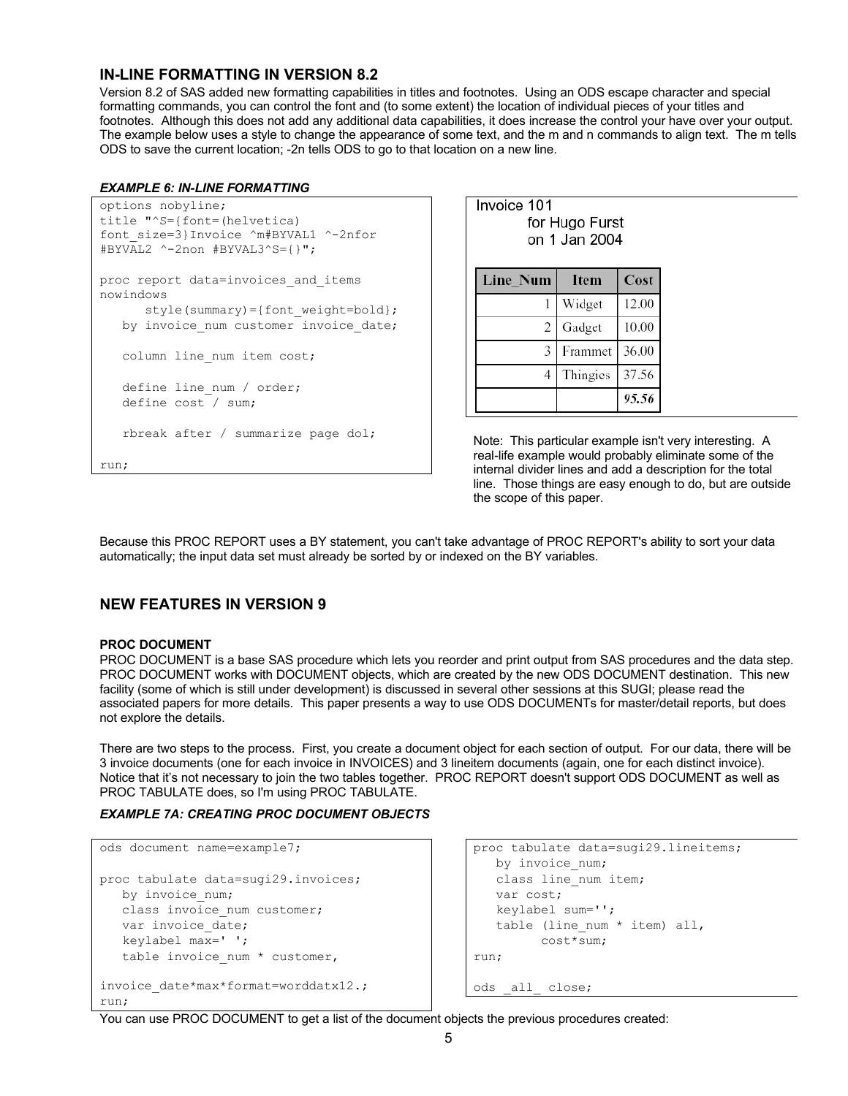## **IN-LINE FORMATTING IN VERSION 8.2**

Version 8.2 of SAS added new formatting capabilities in titles and footnotes. Using an ODS escape character and special formatting commands, you can control the font and (to some extent) the location of individual pieces of your titles and footnotes. Although this does not add any additional data capabilities, it does increase the control your have over your output. The example below uses a style to change the appearance of some text, and the m and n commands to align text. The m tells ODS to save the current location; -2n tells ODS to go to that location on a new line.

### *EXAMPLE 6: IN-LINE FORMATTING*

```
options nobyline;
title "^S={font=(helvetica) 
font_size=3}Invoice ^m#BYVAL1 ^-2nfor 
\overline{\text{HBYVAL2}} ^-2non \overline{\text{HBYVAL3}}^S={}";
proc report data=invoices and items
nowindows
      style(summary)={font weight=bold};
   by invoice num customer invoice date;
   column line num item cost;
   define line num / order;
    define cost / sum;
    rbreak after / summarize page dol;
run;
```

| Invoice 101 | for Hugo Furst<br>on 1 Jan 2004 |       |
|-------------|---------------------------------|-------|
| Line_Num    | <b>Item</b>                     | Cost  |
|             | Widget                          | 12.00 |
| 2           | Gadget                          | 10.00 |
| 3           | Frammet                         | 36.00 |
| 4           | Thingies                        | 37.56 |
|             |                                 | 95.56 |

Note: This particular example isn't very interesting. A real-life example would probably eliminate some of the internal divider lines and add a description for the total line. Those things are easy enough to do, but are outside the scope of this paper.

Because this PROC REPORT uses a BY statement, you can't take advantage of PROC REPORT's ability to sort your data automatically; the input data set must already be sorted by or indexed on the BY variables.

## **NEW FEATURES IN VERSION 9**

### **PROC DOCUMENT**

PROC DOCUMENT is a base SAS procedure which lets you reorder and print output from SAS procedures and the data step. PROC DOCUMENT works with DOCUMENT objects, which are created by the new ODS DOCUMENT destination. This new facility (some of which is still under development) is discussed in several other sessions at this SUGI; please read the associated papers for more details. This paper presents a way to use ODS DOCUMENTs for master/detail reports, but does not explore the details.

There are two steps to the process. First, you create a document object for each section of output. For our data, there will be 3 invoice documents (one for each invoice in INVOICES) and 3 lineitem documents (again, one for each distinct invoice). Notice that it's not necessary to join the two tables together. PROC REPORT doesn't support ODS DOCUMENT as well as PROC TABULATE does, so I'm using PROC TABULATE.

## *EXAMPLE 7A: CREATING PROC DOCUMENT OBJECTS*

```
ods document name=example7;
proc tabulate data=sugi29.invoices;
  by invoice num;
   class invoice num customer;
   var invoice date;
    keylabel max=' ';
   table invoice num * customer,
invoice_date*max*format=worddatx12.;
run;
```

```
proc tabulate data=sugi29.lineitems;
    by invoice_num;
    class line_num item;
    var cost;
    keylabel sum='';
   table (line num * item) all,
          cost*sum;
run;
ods _all_ close;
```
You can use PROC DOCUMENT to get a list of the document objects the previous procedures created: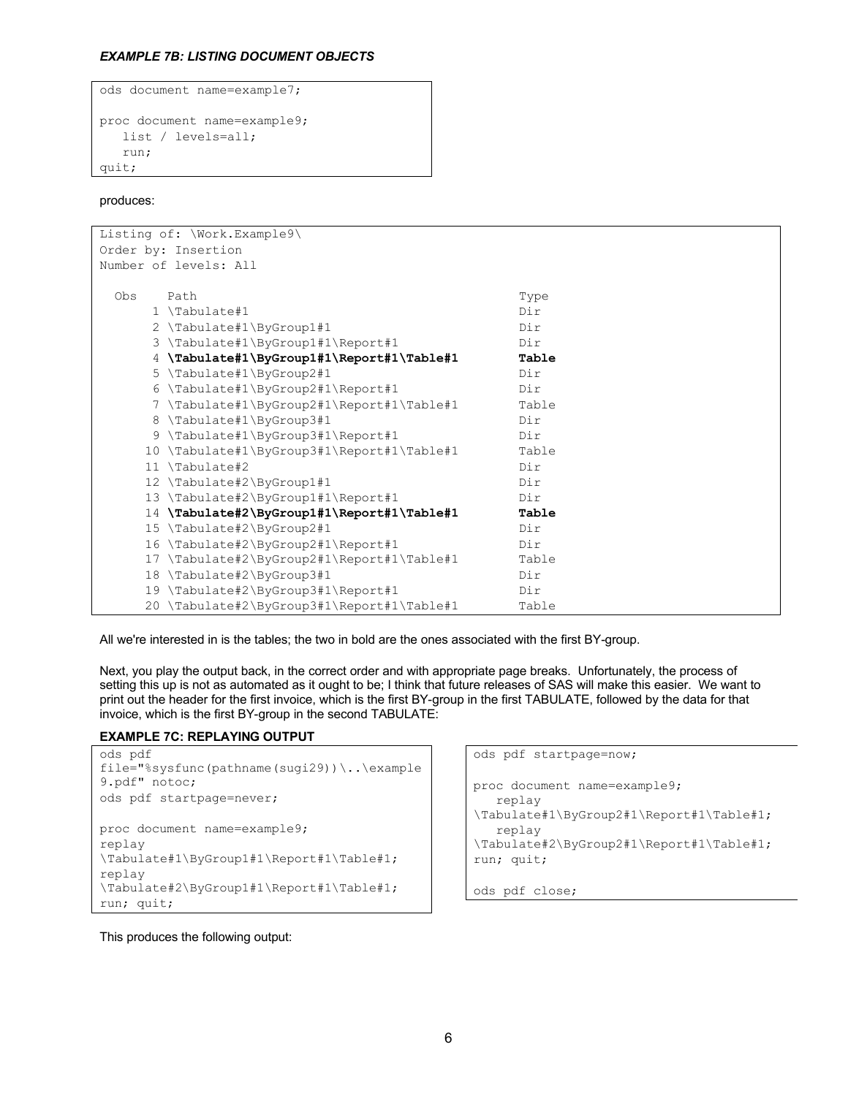### *EXAMPLE 7B: LISTING DOCUMENT OBJECTS*

```
ods document name=example7;
proc document name=example9;
    list / levels=all;
    run;
quit;
```
produces:

| Listing of: \Work.Example9\                   |       |
|-----------------------------------------------|-------|
| Order by: Insertion                           |       |
| Number of levels: All                         |       |
|                                               |       |
| Obs<br>Path                                   | Type  |
| $1 \ \text{Tabulate}\$                        | Dir   |
| 2 \Tabulate#1\ByGroup1#1                      | Dir   |
| 3 \Tabulate#1\ByGroup1#1\Report#1             | Dir   |
| 4 \Tabulate#1\ByGroup1#1\Report#1\Table#1     | Table |
| 5 \Tabulate#1\ByGroup2#1                      | Dir   |
| 6 \Tabulate#1\ByGroup2#1\Report#1             | Dir   |
| 7 \Tabulate#1\ByGroup2#1\Report#1\Table#1     | Table |
| 8 \Tabulate#1\ByGroup3#1                      | Dir   |
| 9 \Tabulate#1\ByGroup3#1\Report#1             | Dir   |
| 10 \Tabulate#1\ByGroup3#1\Report#1\Table#1    | Table |
| 11 \Tabulate#2                                | Dir   |
| 12 \Tabulate#2\ByGroup1#1                     | Dir   |
| 13 \Tabulate#2\ByGroup1#1\Report#1            | Dir   |
| \Tabulate#2\ByGroup1#1\Report#1\Table#1<br>14 | Table |
| 15 \Tabulate#2\ByGroup2#1                     | Dir   |
| \Tabulate#2\ByGroup2#1\Report#1<br>16         | Dir   |
| \Tabulate#2\ByGroup2#1\Report#1\Table#1<br>17 | Table |
| \Tabulate#2\ByGroup3#1<br>18                  | Dir   |
| 19 \Tabulate#2\ByGroup3#1\Report#1            | Dir   |
| 20 \Tabulate#2\ByGroup3#1\Report#1\Table#1    | Table |

All we're interested in is the tables; the two in bold are the ones associated with the first BY-group.

Next, you play the output back, in the correct order and with appropriate page breaks. Unfortunately, the process of setting this up is not as automated as it ought to be; I think that future releases of SAS will make this easier. We want to print out the header for the first invoice, which is the first BY-group in the first TABULATE, followed by the data for that invoice, which is the first BY-group in the second TABULATE:

### **EXAMPLE 7C: REPLAYING OUTPUT**

```
ods pdf 
file="%sysfunc(pathname(sugi29))\..\example
9.pdf" notoc;
ods pdf startpage=never;
proc document name=example9;
replay 
\Tabulate#1\ByGroup1#1\Report#1\Table#1;
replay 
\Tabulate#2\ByGroup1#1\Report#1\Table#1;
run; quit;
```
This produces the following output:

```
ods pdf startpage=now;
proc document name=example9;
    replay 
\Tabulate#1\ByGroup2#1\Report#1\Table#1;
    replay 
\Tabulate#2\ByGroup2#1\Report#1\Table#1;
run; quit;
```

```
ods pdf close;
```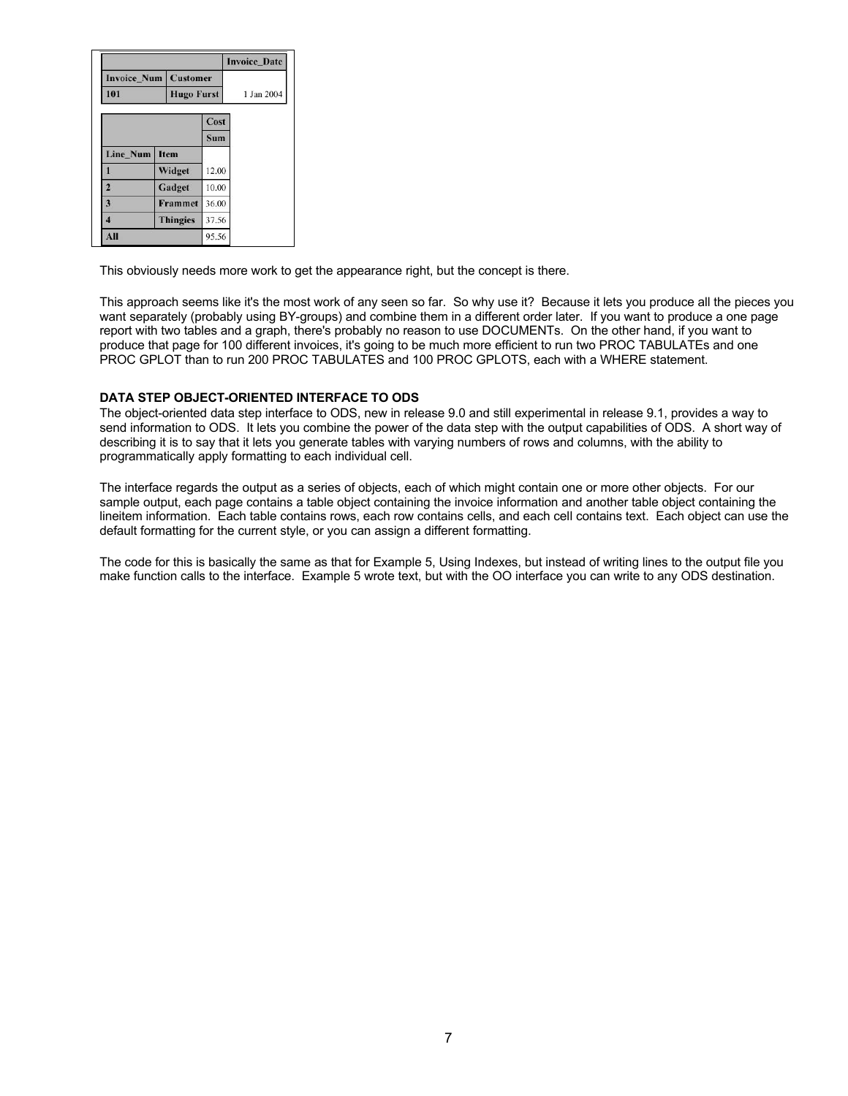|                         |                   |       | <b>Invoice Date</b> |
|-------------------------|-------------------|-------|---------------------|
| <b>Invoice_Num</b>      | <b>Customer</b>   |       |                     |
| 101                     | <b>Hugo Furst</b> |       | 1 Jan 2004          |
|                         |                   | Cost  |                     |
|                         |                   | Sum   |                     |
| <b>Line Num</b>         | Item              |       |                     |
|                         | Widget            | 12.00 |                     |
| $\overline{2}$          | Gadget            | 10.00 |                     |
| $\overline{\mathbf{3}}$ | <b>Frammet</b>    | 36.00 |                     |
| 4                       | <b>Thingies</b>   | 37.56 |                     |
| All                     |                   | 95.56 |                     |

This obviously needs more work to get the appearance right, but the concept is there.

This approach seems like it's the most work of any seen so far. So why use it? Because it lets you produce all the pieces you want separately (probably using BY-groups) and combine them in a different order later. If you want to produce a one page report with two tables and a graph, there's probably no reason to use DOCUMENTs. On the other hand, if you want to produce that page for 100 different invoices, it's going to be much more efficient to run two PROC TABULATEs and one PROC GPLOT than to run 200 PROC TABULATES and 100 PROC GPLOTS, each with a WHERE statement.

### **DATA STEP OBJECT-ORIENTED INTERFACE TO ODS**

The object-oriented data step interface to ODS, new in release 9.0 and still experimental in release 9.1, provides a way to send information to ODS. It lets you combine the power of the data step with the output capabilities of ODS. A short way of describing it is to say that it lets you generate tables with varying numbers of rows and columns, with the ability to programmatically apply formatting to each individual cell.

The interface regards the output as a series of objects, each of which might contain one or more other objects. For our sample output, each page contains a table object containing the invoice information and another table object containing the lineitem information. Each table contains rows, each row contains cells, and each cell contains text. Each object can use the default formatting for the current style, or you can assign a different formatting.

The code for this is basically the same as that for Example 5, Using Indexes, but instead of writing lines to the output file you make function calls to the interface. Example 5 wrote text, but with the OO interface you can write to any ODS destination.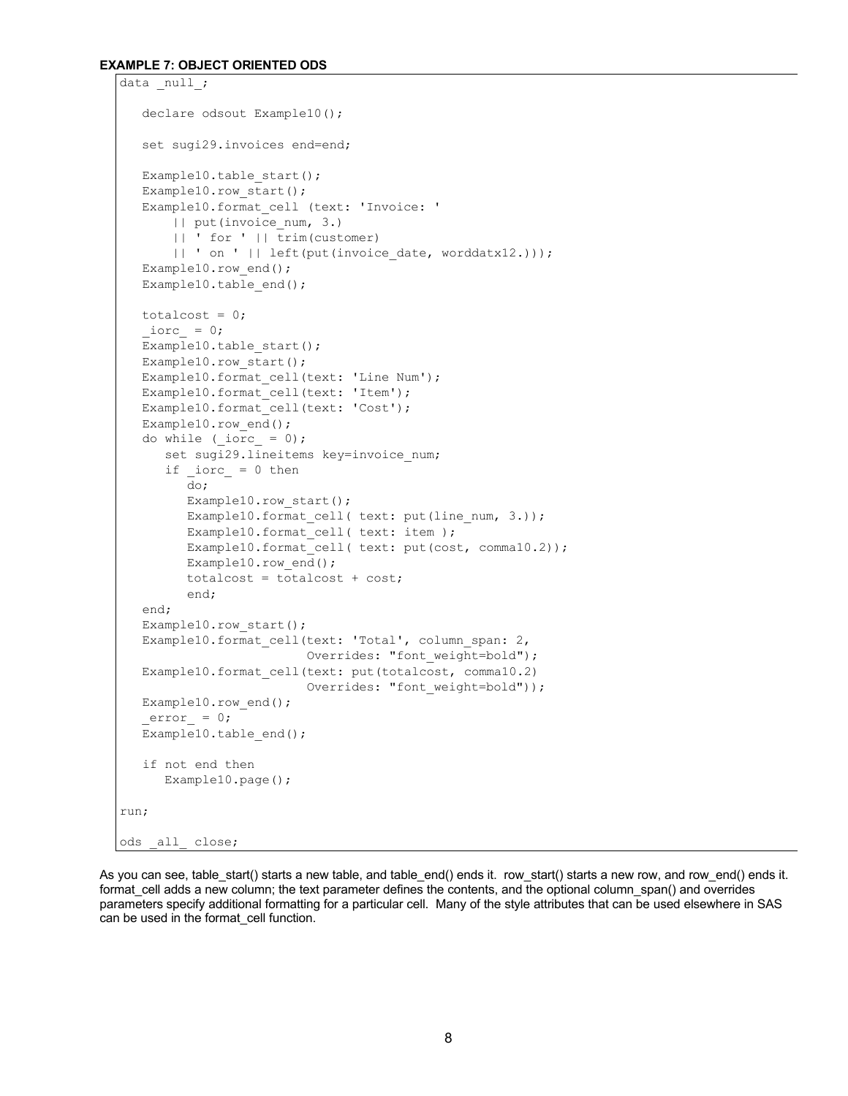#### **EXAMPLE 7: OBJECT ORIENTED ODS**

```
data null;
   declare odsout Example10();
    set sugi29.invoices end=end;
    Example10.table_start();
    Example10.row_start();
    Example10.format_cell (text: 'Invoice: ' 
        || put(invoice_num, 3.)
        || ' for ' || trim(customer) 
       || ' on ' || left(put(invoice date, worddatx12.)));
   Example10.row end();
   Example10.table end();
   totalcost = 0;
   \text{iorc} = 0;
   Example10.table start();
   Example10.row start();
    Example10.format_cell(text: 'Line Num');
   Example10.format cell(text: 'Item');
   Example10.format cell(text: 'Cost');
    Example10.row_end();
   do while (iorc = 0);
      set sugi29.lineitems key=invoice num;
      if iorc = 0 then
          do;
         Example10.row start();
         Example10.format_cell( text: put(line_num, 3.));
          Example10.format_cell( text: item );
         Example10.format cell( text: put(cost, comma10.2));
          Example10.row_end();
          totalcost = totalcost + cost;
          end;
    end;
    Example10.row_start();
   Example10.format cell(text: 'Total', column span: 2,
                         Overrides: "font weight=bold");
   Example10.format cell(text: put(totalcost, comma10.2)
                          Overrides: "font weight=bold"));
  Example10.row end();
   error = 0;Example10.table end();
    if not end then 
       Example10.page();
run;
ods all close;
```
As you can see, table start() starts a new table, and table end() ends it. row start() starts a new row, and row end() ends it. format cell adds a new column; the text parameter defines the contents, and the optional column span() and overrides parameters specify additional formatting for a particular cell. Many of the style attributes that can be used elsewhere in SAS can be used in the format\_cell function.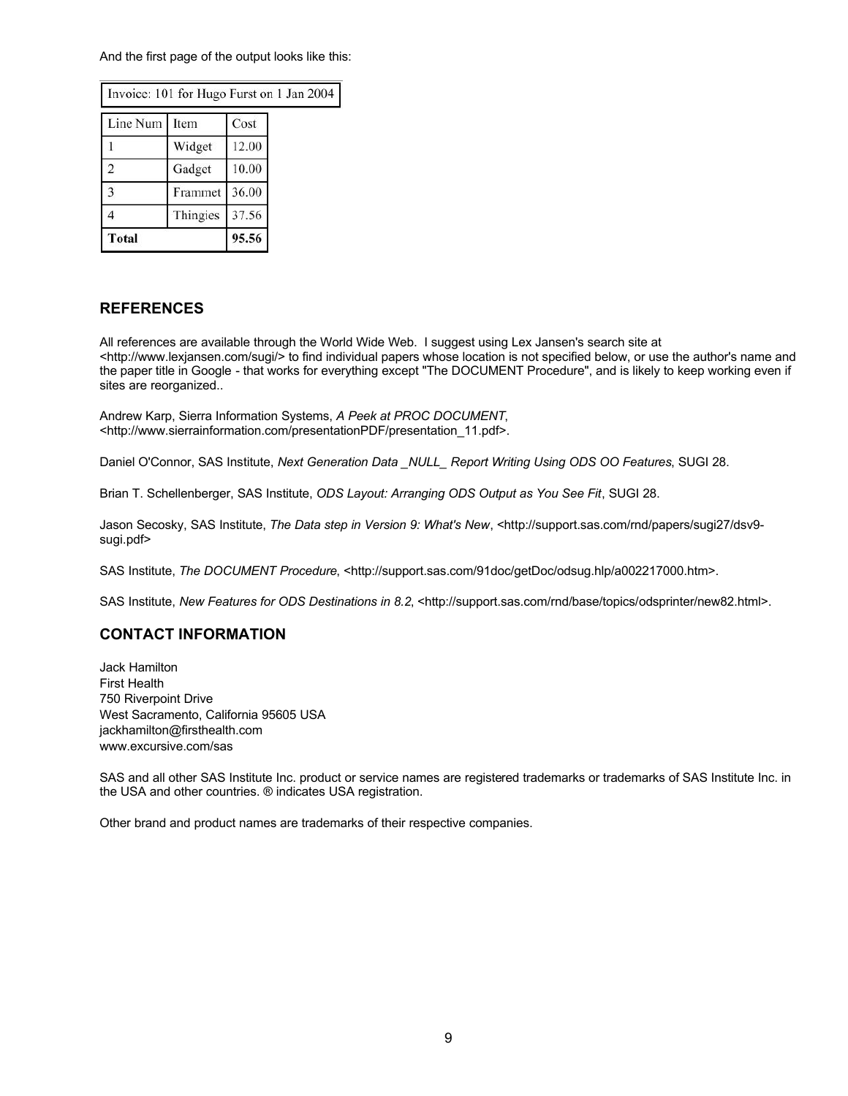And the first page of the output looks like this:

| Invoice: 101 for Hugo Furst on 1 Jan 20 |          |       |  |
|-----------------------------------------|----------|-------|--|
| Line Num                                | Item     | Cost  |  |
|                                         | Widget   | 12.00 |  |
| $\overline{2}$                          | Gadget   | 10.00 |  |
| 3                                       | Frammet  | 36.00 |  |
|                                         | Thingies | 37.56 |  |
| <b>Total</b>                            |          | 95.56 |  |

## **REFERENCES**

All references are available through the World Wide Web. I suggest using Lex Jansen's search site at <http://www.lexjansen.com/sugi/> to find individual papers whose location is not specified below, or use the author's name and the paper title in Google - that works for everything except "The DOCUMENT Procedure", and is likely to keep working even if sites are reorganized..

Andrew Karp, Sierra Information Systems, *A Peek at PROC DOCUMENT*, <http://www.sierrainformation.com/presentationPDF/presentation\_11.pdf>.

 $04$ 

Daniel O'Connor, SAS Institute, *Next Generation Data \_NULL\_ Report Writing Using ODS OO Features*, SUGI 28.

Brian T. Schellenberger, SAS Institute, *ODS Layout: Arranging ODS Output as You See Fit*, SUGI 28.

Jason Secosky, SAS Institute, *The Data step in Version 9: What's New*, <http://support.sas.com/rnd/papers/sugi27/dsv9 sugi.pdf>

SAS Institute, *The DOCUMENT Procedure*, <http://support.sas.com/91doc/getDoc/odsug.hlp/a002217000.htm>.

SAS Institute, *New Features for ODS Destinations in 8.2*, <http://support.sas.com/rnd/base/topics/odsprinter/new82.html>.

## **CONTACT INFORMATION**

Jack Hamilton First Health 750 Riverpoint Drive West Sacramento, California 95605 USA jackhamilton@firsthealth.com www.excursive.com/sas

SAS and all other SAS Institute Inc. product or service names are registered trademarks or trademarks of SAS Institute Inc. in the USA and other countries. ® indicates USA registration.

Other brand and product names are trademarks of their respective companies.